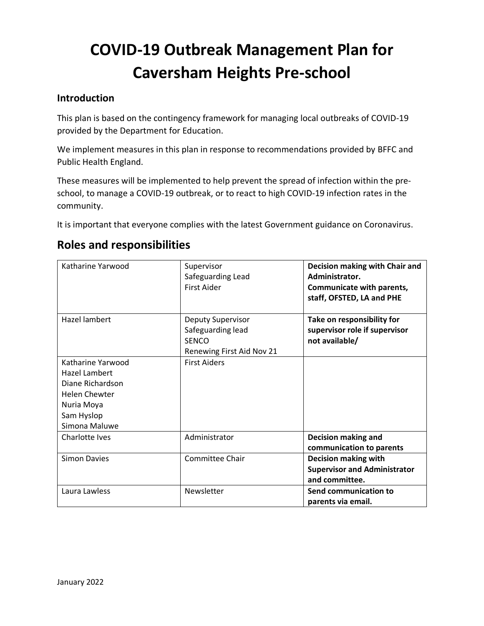# **COVID-19 Outbreak Management Plan for Caversham Heights Pre-school**

#### **Introduction**

This plan is based on the contingency framework for managing local outbreaks of COVID-19 provided by the Department for Education.

We implement measures in this plan in response to recommendations provided by BFFC and Public Health England.

These measures will be implemented to help prevent the spread of infection within the preschool, to manage a COVID-19 outbreak, or to react to high COVID-19 infection rates in the community.

It is important that everyone complies with the latest Government guidance on Coronavirus.

| Katharine Yarwood                                                                                                           | Supervisor<br>Safeguarding Lead<br><b>First Aider</b>                               | Decision making with Chair and<br>Administrator.<br>Communicate with parents,<br>staff, OFSTED, LA and PHE |
|-----------------------------------------------------------------------------------------------------------------------------|-------------------------------------------------------------------------------------|------------------------------------------------------------------------------------------------------------|
| Hazel lambert                                                                                                               | Deputy Supervisor<br>Safeguarding lead<br><b>SENCO</b><br>Renewing First Aid Nov 21 | Take on responsibility for<br>supervisor role if supervisor<br>not available/                              |
| Katharine Yarwood<br>Hazel Lambert<br>Diane Richardson<br><b>Helen Chewter</b><br>Nuria Moya<br>Sam Hyslop<br>Simona Maluwe | <b>First Aiders</b>                                                                 |                                                                                                            |
| Charlotte Ives                                                                                                              | Administrator                                                                       | <b>Decision making and</b><br>communication to parents                                                     |
| <b>Simon Davies</b>                                                                                                         | <b>Committee Chair</b>                                                              | <b>Decision making with</b><br><b>Supervisor and Administrator</b><br>and committee.                       |
| Laura Lawless                                                                                                               | Newsletter                                                                          | Send communication to<br>parents via email.                                                                |

# **Roles and responsibilities**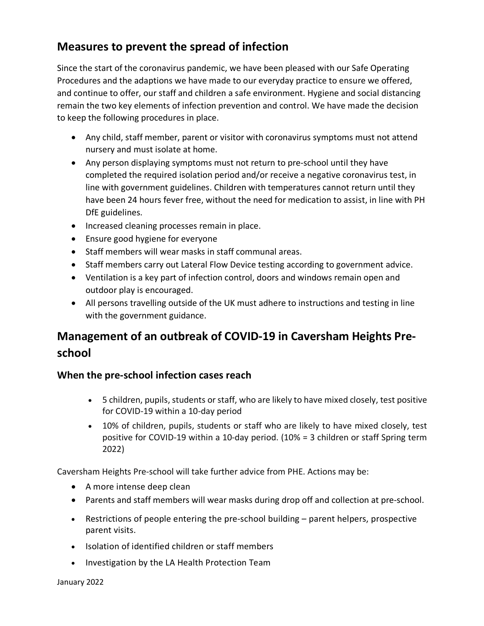# **Measures to prevent the spread of infection**

Since the start of the coronavirus pandemic, we have been pleased with our Safe Operating Procedures and the adaptions we have made to our everyday practice to ensure we offered, and continue to offer, our staff and children a safe environment. Hygiene and social distancing remain the two key elements of infection prevention and control. We have made the decision to keep the following procedures in place.

- Any child, staff member, parent or visitor with coronavirus symptoms must not attend nursery and must isolate at home.
- Any person displaying symptoms must not return to pre-school until they have completed the required isolation period and/or receive a negative coronavirus test, in line with government guidelines. Children with temperatures cannot return until they have been 24 hours fever free, without the need for medication to assist, in line with PH DfE guidelines.
- Increased cleaning processes remain in place.
- Ensure good hygiene for everyone
- Staff members will wear masks in staff communal areas.
- Staff members carry out Lateral Flow Device testing according to government advice.
- Ventilation is a key part of infection control, doors and windows remain open and outdoor play is encouraged.
- All persons travelling outside of the UK must adhere to instructions and testing in line with the government guidance.

# **Management of an outbreak of COVID-19 in Caversham Heights Preschool**

#### **When the pre-school infection cases reach**

- 5 children, pupils, students or staff, who are likely to have mixed closely, test positive for COVID-19 within a 10-day period
- 10% of children, pupils, students or staff who are likely to have mixed closely, test positive for COVID-19 within a 10-day period. (10% = 3 children or staff Spring term 2022)

Caversham Heights Pre-school will take further advice from PHE. Actions may be:

- A more intense deep clean
- Parents and staff members will wear masks during drop off and collection at pre-school.
- Restrictions of people entering the pre-school building parent helpers, prospective parent visits.
- Isolation of identified children or staff members
- Investigation by the LA Health Protection Team